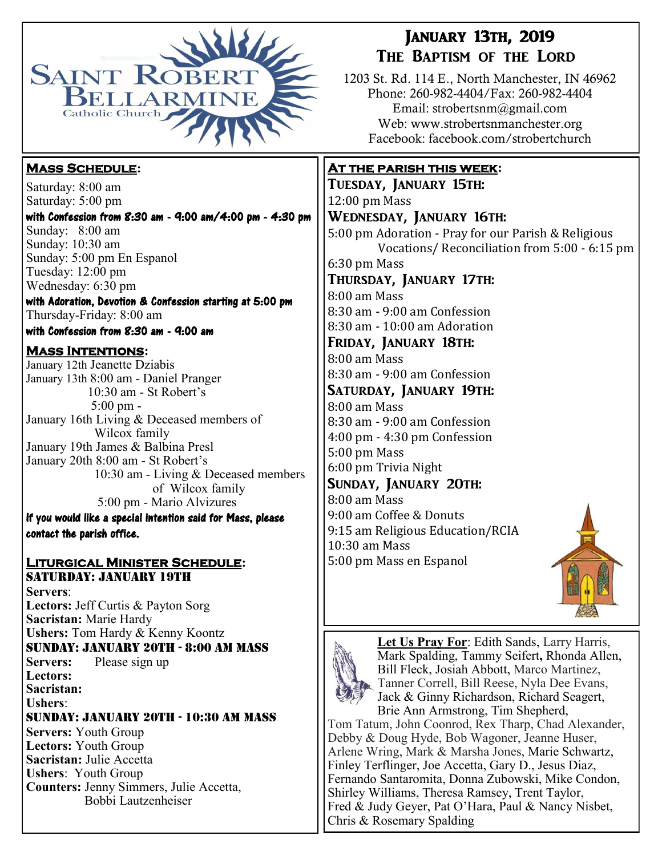

## **Mass Schedule:**

Saturday: 8:00 am Saturday: 5:00 pm

with Confession from 8:30 am - 9:00 am/4:00 pm - 4:30 pm Sunday: 8:00 am Sunday: 10:30 am Sunday: 5:00 pm En Espanol Tuesday: 12:00 pm Wednesday: 6:30 pm

with Adoration, Devotion & Confession starting at 5:00 pm Thursday-Friday: 8:00 am with Confession from 8:30 am - 9:00 am

# **Mass Intentions:**

January 12th Jeanette Dziabis January 13th 8:00 am - Daniel Pranger 10:30 am - St Robert's 5:00 pm - January 16th Living & Deceased members of Wilcox family January 19th James & Balbina Presl January 20th 8:00 am - St Robert's 10:30 am - Living & Deceased members of Wilcox family 5:00 pm - Mario Alvizures

If you would like a special intention said for Mass, please contact the parish office.

#### **Liturgical Minister Schedule:** Saturday: January 19th

**Servers**: **Lectors:** Jeff Curtis & Payton Sorg **Sacristan:** Marie Hardy **Ushers:** Tom Hardy & Kenny Koontz Sunday: January 20th - 8:00 am Mass **Servers:** Please sign up **Lectors: Sacristan: Ushers**: Sunday: January 20th - 10:30 am Mass **Servers:** Youth Group **Lectors:** Youth Group **Sacristan:** Julie Accetta **Ushers**: Youth Group **Counters:** Jenny Simmers, Julie Accetta, Bobbi Lautzenheiser

# January 13th, 2019 The Baptism of the Lord

1203 St. Rd. 114 E., North Manchester, IN 46962 Phone: 260-982-4404/Fax: 260-982-4404 Email: strobertsnm@gmail.com Web: www.strobertsnmanchester.org Facebook: facebook.com/strobertchurch

### **At the parish this week:**

Tuesday, January 15th: 12:00 pm Mass Wednesday, January 16th: 5:00 pm Adoration - Pray for our Parish & Religious Vocations/ Reconciliation from 5:00 - 6:15 pm 6:30 pm Mass Thursday, January 17th: 8:00 am Mass 8:30 am - 9:00 am Confession 8:30 am - 10:00 am Adoration Friday, January 18th: 8:00 am Mass 8:30 am - 9:00 am Confession Saturday, January 19th: 8:00 am Mass 8:30 am - 9:00 am Confession 4:00 pm - 4:30 pm Confession 5:00 pm Mass 6:00 pm Trivia Night Sunday, January 20th: 8:00 am Mass 9:00 am Coffee & Donuts 9:15 am Religious Education/RCIA 10:30 am Mass 5:00 pm Mass en Espanol





**Let Us Pray For**: Edith Sands, Larry Harris, Mark Spalding, Tammy Seifert**,** Rhonda Allen, Bill Fleck, Josiah Abbott, Marco Martinez, Tanner Correll, Bill Reese, Nyla Dee Evans, Jack & Ginny Richardson, Richard Seagert, Brie Ann Armstrong, Tim Shepherd,

Tom Tatum, John Coonrod, Rex Tharp, Chad Alexander, Debby & Doug Hyde, Bob Wagoner, Jeanne Huser, Arlene Wring, Mark & Marsha Jones, Marie Schwartz, Finley Terflinger, Joe Accetta, Gary D., Jesus Diaz, Fernando Santaromita, Donna Zubowski, Mike Condon, Shirley Williams, Theresa Ramsey, Trent Taylor, Fred & Judy Geyer, Pat O'Hara, Paul & Nancy Nisbet, Chris & Rosemary Spalding